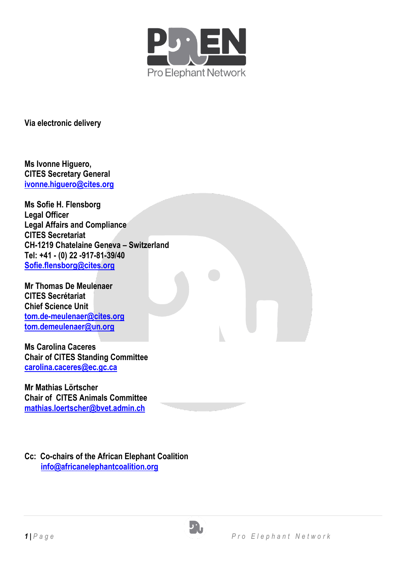

**Via electronic delivery** 

**Ms Ivonne Higuero, CITES Secretary General [ivonne.higuero@cites.org](mailto:ivonne.higuero@cites.org)**

**Ms Sofie H. Flensborg Legal Officer Legal Affairs and Compliance CITES Secretariat CH-1219 Chatelaine Geneva – Switzerland Tel: +41 - (0) 22 -917-81-39/40 [Sofie.flensborg@cites.org](mailto:Sofie.flensborg@cites.org)**

**Mr Thomas De Meulenaer CITES Secrétariat Chief Science Unit [tom.de-meulenaer@cites.org](mailto:tom.de-meulenaer@cites.org) [tom.demeulenaer@un.org](mailto:tom.demeulenaer@un.org)**

**Ms Carolina Caceres Chair of CITES Standing Committee [carolina.caceres@ec.gc.ca](mailto:carolina.caceres@ec.gc.ca)**

**Mr Mathias Lörtscher Chair of CITES Animals Committee [mathias.loertscher@bvet.admin.ch](mailto:mathias.loertscher@bvet.admin.ch)**

**Cc: Co-chairs of the African Elephant Coalition [info@africanelephantcoalition.org](mailto:info@africanelephantcoalition.org)**

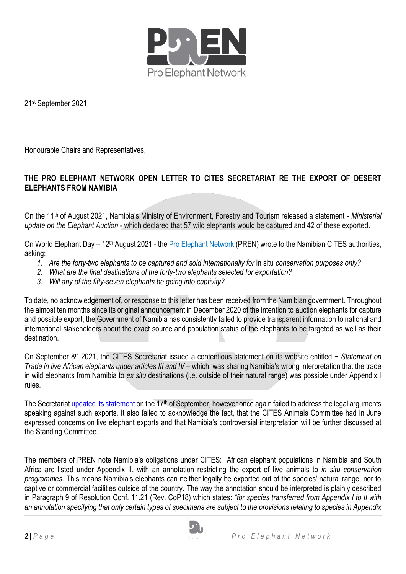

21st September 2021

Honourable Chairs and Representatives,

## **THE PRO ELEPHANT NETWORK OPEN LETTER TO CITES SECRETARIAT RE THE EXPORT OF DESERT ELEPHANTS FROM NAMIBIA**

On the 11th of August 2021, Namibia's Ministry of Environment, Forestry and Tourism released a statement - *Ministerial update on the Elephant Auction* - which declared that 57 wild elephants would be captured and 42 of these exported.

On World Elephant Day – 12<sup>th</sup> August 2021 - the [Pro Elephant Network](https://www.proelephantnetwork.org/) (PREN) wrote to the Namibian CITES authorities, asking:

- 1. Are the forty-two elephants to be captured and sold internationally for in situ conservation purposes only?
- *2. What are the final destinations of the forty-two elephants selected for exportation?*
- *3. Will any of the fifty-seven elephants be going into captivity?*

To date, no acknowledgement of, or response to this letter has been received from the Namibian government. Throughout the almost ten months since its original announcement in December 2020 of the intention to auction elephants for capture and possible export, the Government of Namibia has consistently failed to provide transparent information to national and international stakeholders about the exact source and population status of the elephants to be targeted as well as their destination.

On September 8th 2021, the CITES Secretariat issued a contentious statement on its website entitled − *Statement on Trade in live African elephants under articles III and IV – which was sharing Namibia's wrong interpretation that the trade* in wild elephants from Namibia to *ex situ* destinations (i.e. outside of their natural range) was possible under Appendix I rules.

The Secretariat [updated its statement](https://cites.org/eng/Statement_trade_elephants_CITES_articles3_4_17_sep_17092021) on the 17<sup>th</sup> of September, however once again failed to address the legal arguments speaking against such exports. It also failed to acknowledge the fact, that the CITES Animals Committee had in June expressed concerns on live elephant exports and that Namibia's controversial interpretation will be further discussed at the Standing Committee.

The members of PREN note Namibia's obligations under CITES: African elephant populations in Namibia and South Africa are listed under Appendix II, with an annotation restricting the export of live animals to *in situ conservation programmes*. This means Namibia's elephants can neither legally be exported out of the species' natural range, nor to captive or commercial facilities outside of the country. The way the annotation should be interpreted is plainly described in Paragraph 9 of Resolution Conf. 11.21 (Rev. CoP18) which states: *"for species transferred from Appendix I to II with an annotation specifying that only certain types of specimens are subject to the provisions relating to species in Appendix* 

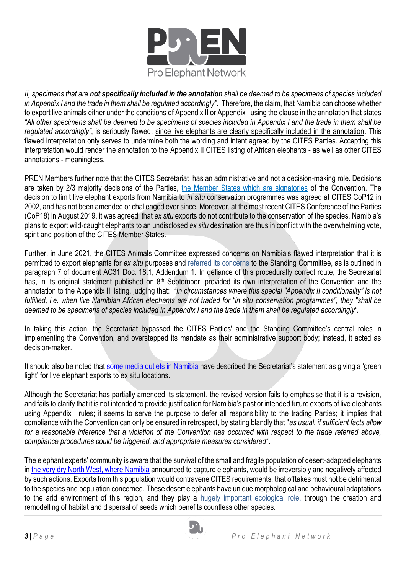

*II, specimens that are not specifically included in the annotation shall be deemed to be specimens of species included in Appendix I and the trade in them shall be regulated accordingly"*. Therefore, the claim, that Namibia can choose whether to export live animals either under the conditions of Appendix II or Appendix I using the clause in the annotation that states *"All other specimens shall be deemed to be specimens of species included in Appendix I and the trade in them shall be regulated accordingly"*, is seriously flawed, since live elephants are clearly specifically included in the annotation. This flawed interpretation only serves to undermine both the wording and intent agreed by the CITES Parties. Accepting this interpretation would render the annotation to the Appendix II CITES listing of African elephants - as well as other CITES annotations - meaningless.

PREN Members further note that the CITES Secretariat has an administrative and not a decision-making role. Decisions are taken by 2/3 majority decisions of the Parties, [the Member States which are signatories](https://en.wikipedia.org/wiki/CITES) of the Convention. The decision to limit live elephant exports from Namibia to *in situ* conservation programmes was agreed at CITES CoP12 in 2002, and has not been amended or challenged ever since. Moreover, at the most recent CITES Conference of the Parties (CoP18) in August 2019, it was agreed that *ex situ* exports do not contribute to the conservation of the species. Namibia's plans to export wild-caught elephants to an undisclosed *ex situ* destination are thus in conflict with the overwhelming vote, spirit and position of the CITES Member States.

Further, in June 2021, the CITES Animals Committee expressed concerns on Namibia's flawed interpretation that it is permitted to export elephants for *ex situ* purposes and [referred its concerns](https://cites.org/sites/default/files/eng/com/ac/31/sum/E-AC31-ExSum-03.pdf) to the Standing Committee, as is outlined in paragraph 7 of document AC31 Doc. 18.1, Addendum 1. In defiance of this procedurally correct route, the Secretariat has, in its original statement published on 8<sup>th</sup> September, provided its own interpretation of the Convention and the annotation to the Appendix II listing, judging that: *"In circumstances where this special "Appendix II conditionality" is not fulfilled, i.e. when live Namibian African elephants are not traded for "in situ conservation programmes", they "shall be deemed to be specimens of species included in Appendix I and the trade in them shall be regulated accordingly".*

In taking this action, the Secretariat bypassed the CITES Parties' and the Standing Committee's central roles in implementing the Convention, and overstepped its mandate as their administrative support body; instead, it acted as decision-maker.

It should also be noted that some [media outlets in Namibia](https://southerntimesafrica.com/jumbo-trade-gets-green-light/) have described the Secretariat's statement as giving a 'green light' for live elephant exports to ex situ locations.

Although the Secretariat has partially amended its statement, the revised version fails to emphasise that it is a revision, and fails to clarify that it is not intended to provide justification for Namibia's past or intended future exports of live elephants using Appendix I rules; it seems to serve the purpose to defer all responsibility to the trading Parties; it implies that compliance with the Convention can only be ensured in retrospect, by stating blandly that "*as usual, if sufficient facts allow for a reasonable inference that a violation of the Convention has occurred with respect to the trade referred above, compliance procedures could be triggered, and appropriate measures considered*".

The elephant experts' community is aware that the survival of the small and fragile population of desert-adapted elephants in [the very dry North West, where Namibia](https://www.namibiansun.com/news/elephant-exports-reported-to-cites2021-08-17/) announced to capture elephants, would be irreversibly and negatively affected by such actions. Exports from this population would contravene CITES requirements, that offtakes must not be detrimental to the species and population concerned. These desert elephants have unique morphological and behavioural adaptations to the arid environment of this region, and they play a [hugely important ecological role,](https://www.imf.org/external/pubs/ft/fandd/2020/09/how-african-elephants-fight-climate-change-ralph-chami.htm) through the creation and remodelling of habitat and dispersal of seeds which benefits countless other species.

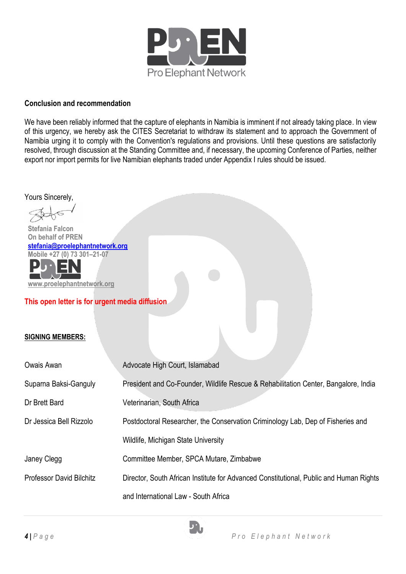

## **Conclusion and recommendation**

We have been reliably informed that the capture of elephants in Namibia is imminent if not already taking place. In view of this urgency, we hereby ask the CITES Secretariat to withdraw its statement and to approach the Government of Namibia urging it to comply with the Convention's regulations and provisions. Until these questions are satisfactorily resolved, through discussion at the Standing Committee and, if necessary, the upcoming Conference of Parties, neither export nor import permits for live Namibian elephants traded under Appendix I rules should be issued.

Yours Sincerely,  **Stefania Falcon On behalf of PREN [stefania@proelephantnetwork.org](mailto:stefania@proelephantnetwork.org)  Mobile +27 (0) 73 301–21-07 [www.proelephantnetwork.org](http://www.proelephantnetwork.org/) This open letter is for urgent media diffusion SIGNING MEMBERS:**  Owais Awan **Advocate High Court, Islamabad** Suparna Baksi-Ganguly President and Co-Founder, Wildlife Rescue & Rehabilitation Center, Bangalore, India Dr Brett Bard Veterinarian, South Africa Dr Jessica Bell Rizzolo Postdoctoral Researcher, the Conservation Criminology Lab, Dep of Fisheries and Wildlife, Michigan State University Janey Clegg Committee Member, SPCA Mutare, Zimbabwe Professor David Bilchitz Director, South African Institute for Advanced Constitutional, Public and Human Rights and International Law - South Africa

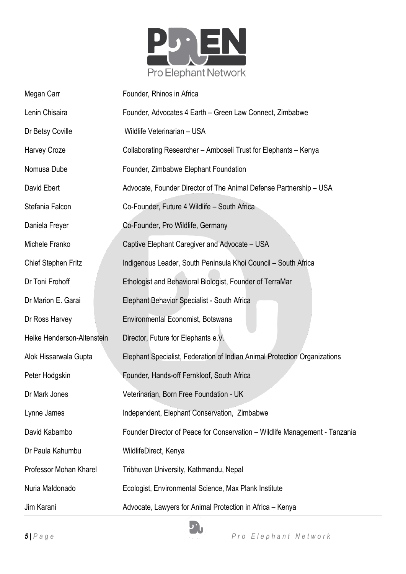

| Megan Carr                 | Founder, Rhinos in Africa                                                   |
|----------------------------|-----------------------------------------------------------------------------|
| Lenin Chisaira             | Founder, Advocates 4 Earth - Green Law Connect, Zimbabwe                    |
| Dr Betsy Coville           | Wildlife Veterinarian - USA                                                 |
| <b>Harvey Croze</b>        | Collaborating Researcher - Amboseli Trust for Elephants - Kenya             |
| Nomusa Dube                | Founder, Zimbabwe Elephant Foundation                                       |
| David Ebert                | Advocate, Founder Director of The Animal Defense Partnership - USA          |
| Stefania Falcon            | Co-Founder, Future 4 Wildlife - South Africa                                |
| Daniela Freyer             | Co-Founder, Pro Wildlife, Germany                                           |
| Michele Franko             | Captive Elephant Caregiver and Advocate - USA                               |
| <b>Chief Stephen Fritz</b> | Indigenous Leader, South Peninsula Khoi Council - South Africa              |
| Dr Toni Frohoff            | Ethologist and Behavioral Biologist, Founder of TerraMar                    |
| Dr Marion E. Garai         | Elephant Behavior Specialist - South Africa                                 |
| Dr Ross Harvey             | Environmental Economist, Botswana                                           |
| Heike Henderson-Altenstein | Director, Future for Elephants e.V.                                         |
| Alok Hissarwala Gupta      | Elephant Specialist, Federation of Indian Animal Protection Organizations   |
| Peter Hodgskin             | Founder, Hands-off Fernkloof, South Africa                                  |
| Dr Mark Jones              | Veterinarian, Born Free Foundation - UK                                     |
| Lynne James                | Independent, Elephant Conservation, Zimbabwe                                |
| David Kabambo              | Founder Director of Peace for Conservation - Wildlife Management - Tanzania |
| Dr Paula Kahumbu           | WildlifeDirect, Kenya                                                       |
| Professor Mohan Kharel     | Tribhuvan University, Kathmandu, Nepal                                      |
| Nuria Maldonado            | Ecologist, Environmental Science, Max Plank Institute                       |
| Jim Karani                 | Advocate, Lawyers for Animal Protection in Africa - Kenya                   |